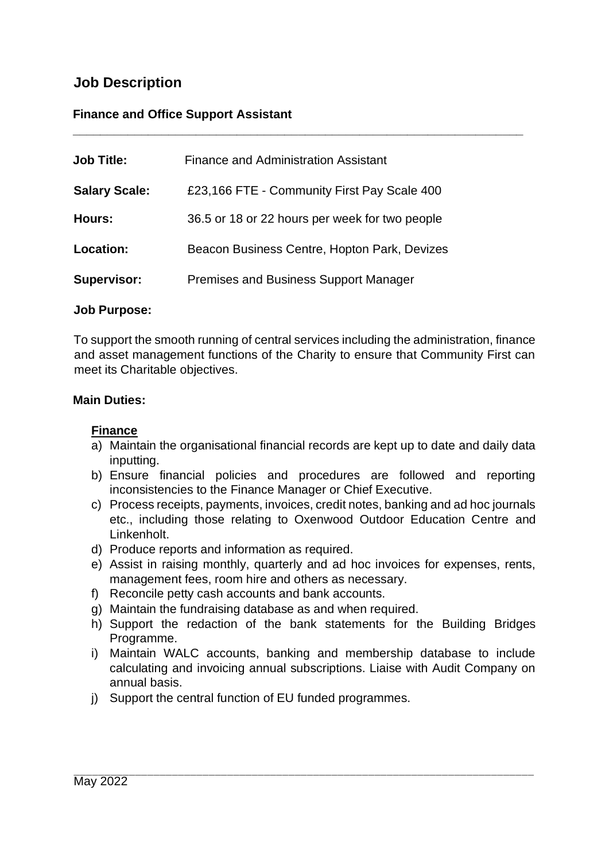# **Job Description**

## **Finance and Office Support Assistant**

| <b>Job Title:</b>    | <b>Finance and Administration Assistant</b>    |
|----------------------|------------------------------------------------|
| <b>Salary Scale:</b> | £23,166 FTE - Community First Pay Scale 400    |
| Hours:               | 36.5 or 18 or 22 hours per week for two people |
| Location:            | Beacon Business Centre, Hopton Park, Devizes   |
| <b>Supervisor:</b>   | <b>Premises and Business Support Manager</b>   |

#### **Job Purpose:**

To support the smooth running of central services including the administration, finance and asset management functions of the Charity to ensure that Community First can meet its Charitable objectives.

**\_\_\_\_\_\_\_\_\_\_\_\_\_\_\_\_\_\_\_\_\_\_\_\_\_\_\_\_\_\_\_\_\_\_\_\_\_\_\_\_\_\_\_\_\_\_\_\_\_\_\_\_\_\_\_\_\_\_\_\_\_\_\_\_\_\_**

#### **Main Duties:**

### **Finance**

- a) Maintain the organisational financial records are kept up to date and daily data inputting.
- b) Ensure financial policies and procedures are followed and reporting inconsistencies to the Finance Manager or Chief Executive.
- c) Process receipts, payments, invoices, credit notes, banking and ad hoc journals etc., including those relating to Oxenwood Outdoor Education Centre and Linkenholt.
- d) Produce reports and information as required.
- e) Assist in raising monthly, quarterly and ad hoc invoices for expenses, rents, management fees, room hire and others as necessary.
- f) Reconcile petty cash accounts and bank accounts.
- g) Maintain the fundraising database as and when required.
- h) Support the redaction of the bank statements for the Building Bridges Programme.
- i) Maintain WALC accounts, banking and membership database to include calculating and invoicing annual subscriptions. Liaise with Audit Company on annual basis.
- j) Support the central function of EU funded programmes.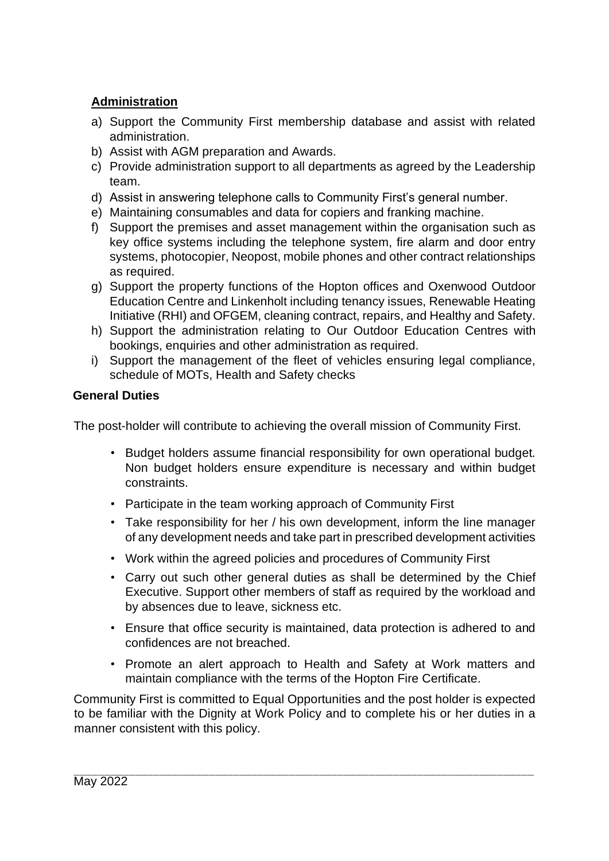## **Administration**

- a) Support the Community First membership database and assist with related administration.
- b) Assist with AGM preparation and Awards.
- c) Provide administration support to all departments as agreed by the Leadership team.
- d) Assist in answering telephone calls to Community First's general number.
- e) Maintaining consumables and data for copiers and franking machine.
- f) Support the premises and asset management within the organisation such as key office systems including the telephone system, fire alarm and door entry systems, photocopier, Neopost, mobile phones and other contract relationships as required.
- g) Support the property functions of the Hopton offices and Oxenwood Outdoor Education Centre and Linkenholt including tenancy issues, Renewable Heating Initiative (RHI) and OFGEM, cleaning contract, repairs, and Healthy and Safety.
- h) Support the administration relating to Our Outdoor Education Centres with bookings, enquiries and other administration as required.
- i) Support the management of the fleet of vehicles ensuring legal compliance, schedule of MOTs, Health and Safety checks

## **General Duties**

The post-holder will contribute to achieving the overall mission of Community First.

- Budget holders assume financial responsibility for own operational budget. Non budget holders ensure expenditure is necessary and within budget constraints.
- Participate in the team working approach of Community First
- Take responsibility for her / his own development, inform the line manager of any development needs and take part in prescribed development activities
- Work within the agreed policies and procedures of Community First
- Carry out such other general duties as shall be determined by the Chief Executive. Support other members of staff as required by the workload and by absences due to leave, sickness etc.
- Ensure that office security is maintained, data protection is adhered to and confidences are not breached.
- Promote an alert approach to Health and Safety at Work matters and maintain compliance with the terms of the Hopton Fire Certificate.

Community First is committed to Equal Opportunities and the post holder is expected to be familiar with the Dignity at Work Policy and to complete his or her duties in a manner consistent with this policy.